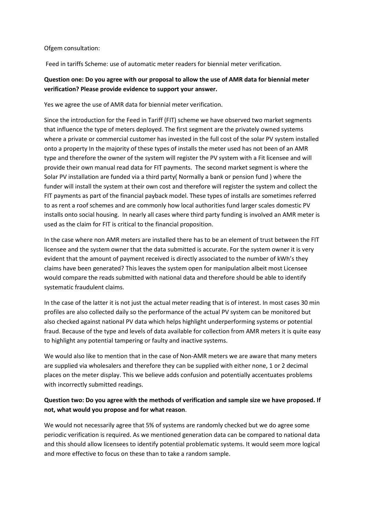#### Ofgem consultation:

Feed in tariffs Scheme: use of automatic meter readers for biennial meter verification.

### **Question one: Do you agree with our proposal to allow the use of AMR data for biennial meter verification? Please provide evidence to support your answer.**

Yes we agree the use of AMR data for biennial meter verification.

Since the introduction for the Feed in Tariff (FIT) scheme we have observed two market segments that influence the type of meters deployed. The first segment are the privately owned systems where a private or commercial customer has invested in the full cost of the solar PV system installed onto a property In the majority of these types of installs the meter used has not been of an AMR type and therefore the owner of the system will register the PV system with a Fit licensee and will provide their own manual read data for FIT payments. The second market segment is where the Solar PV installation are funded via a third party( Normally a bank or pension fund ) where the funder will install the system at their own cost and therefore will register the system and collect the FIT payments as part of the financial payback model. These types of installs are sometimes referred to as rent a roof schemes and are commonly how local authorities fund larger scales domestic PV installs onto social housing. In nearly all cases where third party funding is involved an AMR meter is used as the claim for FIT is critical to the financial proposition.

In the case where non AMR meters are installed there has to be an element of trust between the FIT licensee and the system owner that the data submitted is accurate. For the system owner it is very evident that the amount of payment received is directly associated to the number of kWh's they claims have been generated? This leaves the system open for manipulation albeit most Licensee would compare the reads submitted with national data and therefore should be able to identify systematic fraudulent claims.

In the case of the latter it is not just the actual meter reading that is of interest. In most cases 30 min profiles are also collected daily so the performance of the actual PV system can be monitored but also checked against national PV data which helps highlight underperforming systems or potential fraud. Because of the type and levels of data available for collection from AMR meters it is quite easy to highlight any potential tampering or faulty and inactive systems.

We would also like to mention that in the case of Non-AMR meters we are aware that many meters are supplied via wholesalers and therefore they can be supplied with either none, 1 or 2 decimal places on the meter display. This we believe adds confusion and potentially accentuates problems with incorrectly submitted readings.

### **Question two: Do you agree with the methods of verification and sample size we have proposed. If not, what would you propose and for what reason**.

We would not necessarily agree that 5% of systems are randomly checked but we do agree some periodic verification is required. As we mentioned generation data can be compared to national data and this should allow licensees to identify potential problematic systems. It would seem more logical and more effective to focus on these than to take a random sample.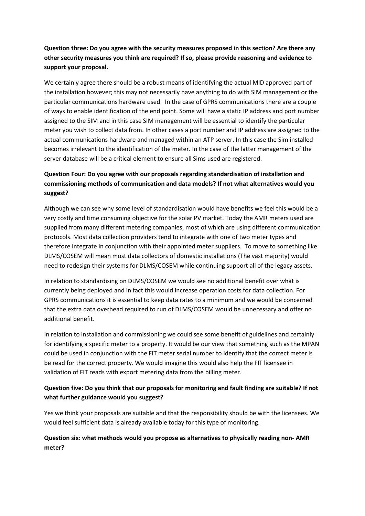# **Question three: Do you agree with the security measures proposed in this section? Are there any other security measures you think are required? If so, please provide reasoning and evidence to support your proposal.**

We certainly agree there should be a robust means of identifying the actual MID approved part of the installation however; this may not necessarily have anything to do with SIM management or the particular communications hardware used. In the case of GPRS communications there are a couple of ways to enable identification of the end point. Some will have a static IP address and port number assigned to the SIM and in this case SIM management will be essential to identify the particular meter you wish to collect data from. In other cases a port number and IP address are assigned to the actual communications hardware and managed within an ATP server. In this case the Sim installed becomes irrelevant to the identification of the meter. In the case of the latter management of the server database will be a critical element to ensure all Sims used are registered.

# **Question Four: Do you agree with our proposals regarding standardisation of installation and commissioning methods of communication and data models? If not what alternatives would you suggest?**

Although we can see why some level of standardisation would have benefits we feel this would be a very costly and time consuming objective for the solar PV market. Today the AMR meters used are supplied from many different metering companies, most of which are using different communication protocols. Most data collection providers tend to integrate with one of two meter types and therefore integrate in conjunction with their appointed meter suppliers. To move to something like DLMS/COSEM will mean most data collectors of domestic installations (The vast majority) would need to redesign their systems for DLMS/COSEM while continuing support all of the legacy assets.

In relation to standardising on DLMS/COSEM we would see no additional benefit over what is currently being deployed and in fact this would increase operation costs for data collection. For GPRS communications it is essential to keep data rates to a minimum and we would be concerned that the extra data overhead required to run of DLMS/COSEM would be unnecessary and offer no additional benefit.

In relation to installation and commissioning we could see some benefit of guidelines and certainly for identifying a specific meter to a property. It would be our view that something such as the MPAN could be used in conjunction with the FIT meter serial number to identify that the correct meter is be read for the correct property. We would imagine this would also help the FIT licensee in validation of FIT reads with export metering data from the billing meter.

## **Question five: Do you think that our proposals for monitoring and fault finding are suitable? If not what further guidance would you suggest?**

Yes we think your proposals are suitable and that the responsibility should be with the licensees. We would feel sufficient data is already available today for this type of monitoring.

## **Question six: what methods would you propose as alternatives to physically reading non- AMR meter?**